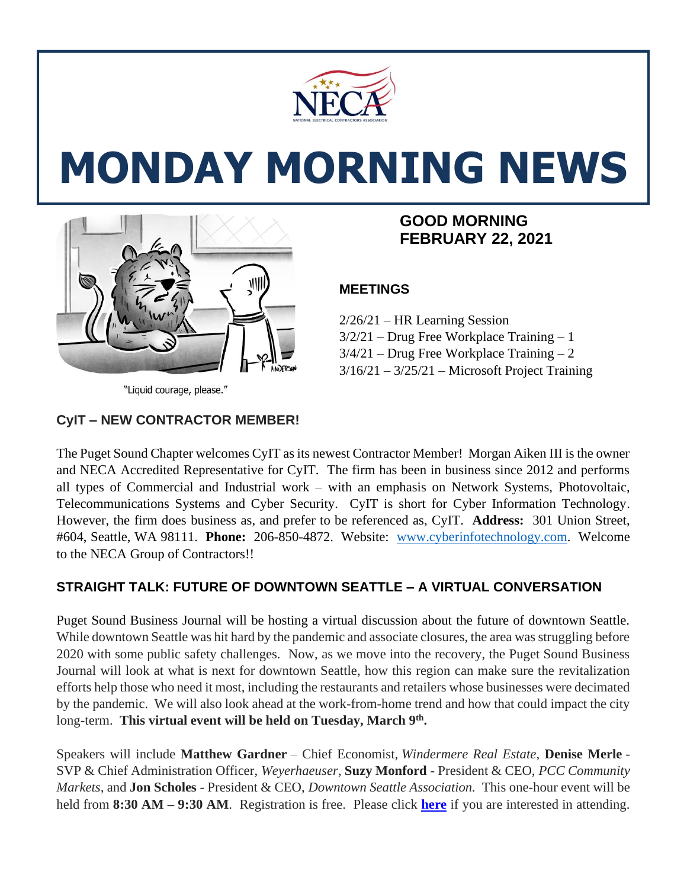

# **MONDAY MORNING NEWS**



# **FEBRUARY 22, 2021**

# **MEETINGS**

2/26/21 – HR Learning Session 3/2/21 – Drug Free Workplace Training – 1 3/4/21 – Drug Free Workplace Training – 2  $3/16/21 - 3/25/21$  – Microsoft Project Training

"Liquid courage, please."

# **CyIT – NEW CONTRACTOR MEMBER!**

The Puget Sound Chapter welcomes CyIT as its newest Contractor Member! Morgan Aiken III is the owner and NECA Accredited Representative for CyIT. The firm has been in business since 2012 and performs all types of Commercial and Industrial work – with an emphasis on Network Systems, Photovoltaic, Telecommunications Systems and Cyber Security. CyIT is short for Cyber Information Technology. However, the firm does business as, and prefer to be referenced as, CyIT. **Address:** 301 Union Street, #604, Seattle, WA 98111. **Phone:** 206-850-4872. Website: [www.cyberinfotechnology.com.](http://www.cyberinfotechnology.com/) Welcome to the NECA Group of Contractors!!

# **STRAIGHT TALK: FUTURE OF DOWNTOWN SEATTLE – A VIRTUAL CONVERSATION**

Puget Sound Business Journal will be hosting a virtual discussion about the future of downtown Seattle. While downtown Seattle was hit hard by the pandemic and associate closures, the area was struggling before 2020 with some public safety challenges. Now, as we move into the recovery, the Puget Sound Business Journal will look at what is next for downtown Seattle, how this region can make sure the revitalization efforts help those who need it most, including the restaurants and retailers whose businesses were decimated by the pandemic. We will also look ahead at the work-from-home trend and how that could impact the city long-term. **This virtual event will be held on Tuesday, March 9th .**

Speakers will include **Matthew Gardner** – Chief Economist, *Windermere Real Estate,* **Denise Merle** - SVP & Chief Administration Officer, *Weyerhaeuser,* **Suzy Monford** - President & CEO, *PCC Community Markets,* and **Jon Scholes** - President & CEO, *Downtown Seattle Association.* This one-hour event will be held from **8:30 AM – 9:30 AM**. Registration is free. Please click **[here](https://www.bizjournals.com/seattle/event/166639/2021/straight-talk-future-of-downtown-seattle)** if you are interested in attending.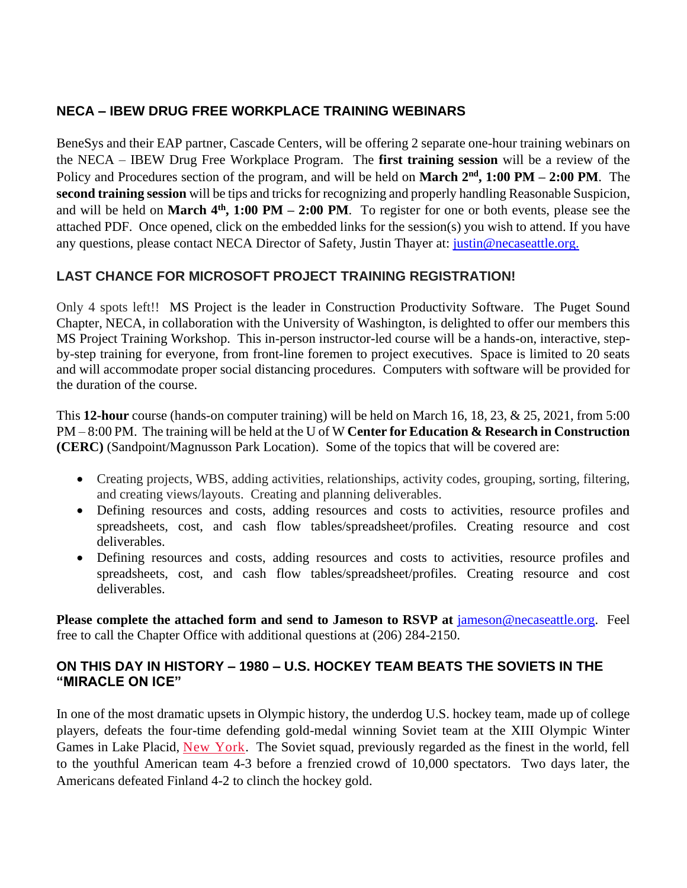# **NECA – IBEW DRUG FREE WORKPLACE TRAINING WEBINARS**

BeneSys and their EAP partner, Cascade Centers, will be offering 2 separate one-hour training webinars on the NECA – IBEW Drug Free Workplace Program. The **first training session** will be a review of the Policy and Procedures section of the program, and will be held on **March 2nd , 1:00 PM – 2:00 PM**. The **second training session** will be tips and tricks for recognizing and properly handling Reasonable Suspicion, and will be held on **March 4th, 1:00 PM – 2:00 PM**. To register for one or both events, please see the attached PDF. Once opened, click on the embedded links for the session(s) you wish to attend. If you have any questions, please contact NECA Director of Safety, Justin Thayer at: [justin@necaseattle.org.](mailto:justin@necaseattle.org)

# **LAST CHANCE FOR MICROSOFT PROJECT TRAINING REGISTRATION!**

Only 4 spots left!! MS Project is the leader in Construction Productivity Software. The Puget Sound Chapter, NECA, in collaboration with the University of Washington, is delighted to offer our members this MS Project Training Workshop. This in-person instructor-led course will be a hands-on, interactive, stepby-step training for everyone, from front-line foremen to project executives. Space is limited to 20 seats and will accommodate proper social distancing procedures. Computers with software will be provided for the duration of the course.

This **12-hour** course (hands-on computer training) will be held on March 16, 18, 23, & 25, 2021, from 5:00 PM – 8:00 PM. The training will be held at the U of W **Center for Education & Research in Construction (CERC)** (Sandpoint/Magnusson Park Location). Some of the topics that will be covered are:

- Creating projects, WBS, adding activities, relationships, activity codes, grouping, sorting, filtering, and creating views/layouts. Creating and planning deliverables.
- Defining resources and costs, adding resources and costs to activities, resource profiles and spreadsheets, cost, and cash flow tables/spreadsheet/profiles. Creating resource and cost deliverables.
- Defining resources and costs, adding resources and costs to activities, resource profiles and spreadsheets, cost, and cash flow tables/spreadsheet/profiles. Creating resource and cost deliverables.

**Please complete the attached form and send to Jameson to RSVP at** [jameson@necaseattle.org.](mailto:jameson@necaseattle.org) Feel free to call the Chapter Office with additional questions at (206) 284-2150.

#### **ON THIS DAY IN HISTORY – 1980 – U.S. HOCKEY TEAM BEATS THE SOVIETS IN THE "MIRACLE ON ICE"**

In one of the most dramatic upsets in Olympic history, the underdog U.S. hockey team, made up of college players, defeats the four-time defending gold-medal winning Soviet team at the XIII Olympic Winter Games in Lake Placid, [New York.](https://www.history.com/topics/us-states/new-york) The Soviet squad, previously regarded as the finest in the world, fell to the youthful American team 4-3 before a frenzied crowd of 10,000 spectators. Two days later, the Americans defeated Finland 4-2 to clinch the hockey gold.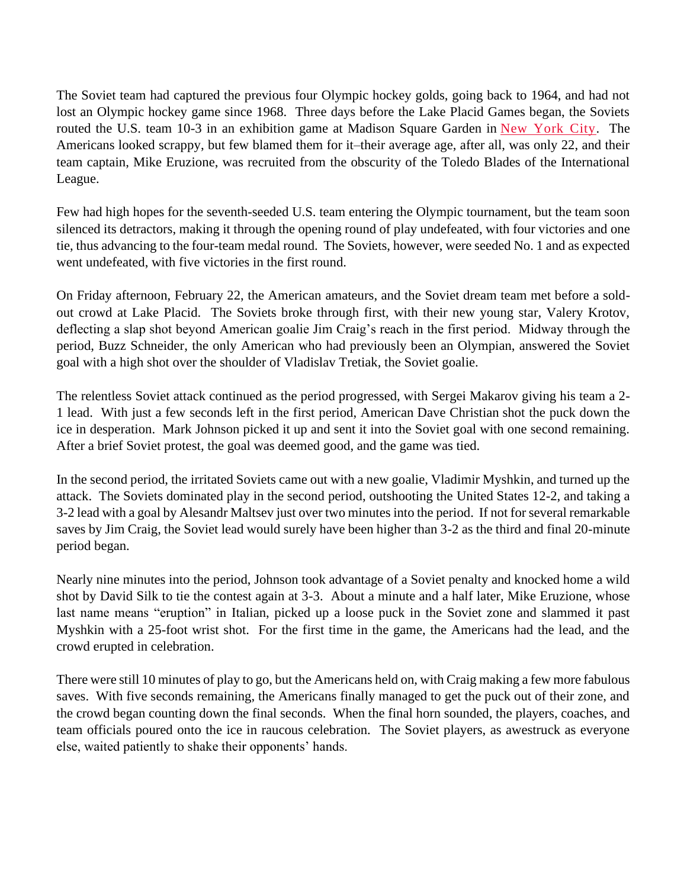The Soviet team had captured the previous four Olympic hockey golds, going back to 1964, and had not lost an Olympic hockey game since 1968. Three days before the Lake Placid Games began, the Soviets routed the U.S. team 10-3 in an exhibition game at Madison Square Garden in [New York City.](https://www.history.com/topics/new-york-city) The Americans looked scrappy, but few blamed them for it–their average age, after all, was only 22, and their team captain, Mike Eruzione, was recruited from the obscurity of the Toledo Blades of the International League.

Few had high hopes for the seventh-seeded U.S. team entering the Olympic tournament, but the team soon silenced its detractors, making it through the opening round of play undefeated, with four victories and one tie, thus advancing to the four-team medal round. The Soviets, however, were seeded No. 1 and as expected went undefeated, with five victories in the first round.

On Friday afternoon, February 22, the American amateurs, and the Soviet dream team met before a soldout crowd at Lake Placid. The Soviets broke through first, with their new young star, Valery Krotov, deflecting a slap shot beyond American goalie Jim Craig's reach in the first period. Midway through the period, Buzz Schneider, the only American who had previously been an Olympian, answered the Soviet goal with a high shot over the shoulder of Vladislav Tretiak, the Soviet goalie.

The relentless Soviet attack continued as the period progressed, with Sergei Makarov giving his team a 2- 1 lead. With just a few seconds left in the first period, American Dave Christian shot the puck down the ice in desperation. Mark Johnson picked it up and sent it into the Soviet goal with one second remaining. After a brief Soviet protest, the goal was deemed good, and the game was tied.

In the second period, the irritated Soviets came out with a new goalie, Vladimir Myshkin, and turned up the attack. The Soviets dominated play in the second period, outshooting the United States 12-2, and taking a 3-2 lead with a goal by Alesandr Maltsev just over two minutes into the period. If not for several remarkable saves by Jim Craig, the Soviet lead would surely have been higher than 3-2 as the third and final 20-minute period began.

Nearly nine minutes into the period, Johnson took advantage of a Soviet penalty and knocked home a wild shot by David Silk to tie the contest again at 3-3. About a minute and a half later, Mike Eruzione, whose last name means "eruption" in Italian, picked up a loose puck in the Soviet zone and slammed it past Myshkin with a 25-foot wrist shot. For the first time in the game, the Americans had the lead, and the crowd erupted in celebration.

There were still 10 minutes of play to go, but the Americans held on, with Craig making a few more fabulous saves. With five seconds remaining, the Americans finally managed to get the puck out of their zone, and the crowd began counting down the final seconds. When the final horn sounded, the players, coaches, and team officials poured onto the ice in raucous celebration. The Soviet players, as awestruck as everyone else, waited patiently to shake their opponents' hands.